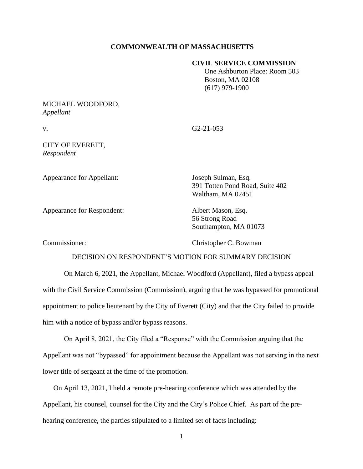## **COMMONWEALTH OF MASSACHUSETTS**

### **CIVIL SERVICE COMMISSION**

 One Ashburton Place: Room 503 Boston, MA 02108 (617) 979-1900

# MICHAEL WOODFORD, *Appellant*

v. G2-21-053

# CITY OF EVERETT, *Respondent*

Appearance for Appellant: Joseph Sulman, Esq.

391 Totten Pond Road, Suite 402 Waltham, MA 02451

Appearance for Respondent: Albert Mason, Esq.

56 Strong Road Southampton, MA 01073

Commissioner: Christopher C. Bowman

## DECISION ON RESPONDENT'S MOTION FOR SUMMARY DECISION

On March 6, 2021, the Appellant, Michael Woodford (Appellant), filed a bypass appeal with the Civil Service Commission (Commission), arguing that he was bypassed for promotional appointment to police lieutenant by the City of Everett (City) and that the City failed to provide him with a notice of bypass and/or bypass reasons.

On April 8, 2021, the City filed a "Response" with the Commission arguing that the Appellant was not "bypassed" for appointment because the Appellant was not serving in the next lower title of sergeant at the time of the promotion.

On April 13, 2021, I held a remote pre-hearing conference which was attended by the Appellant, his counsel, counsel for the City and the City's Police Chief. As part of the prehearing conference, the parties stipulated to a limited set of facts including: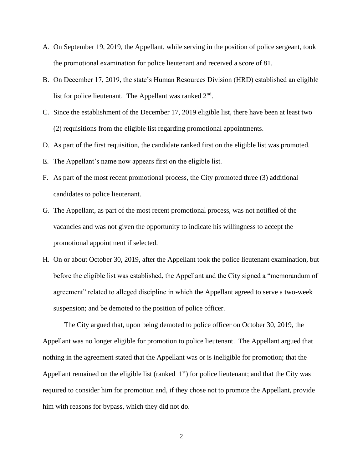- A. On September 19, 2019, the Appellant, while serving in the position of police sergeant, took the promotional examination for police lieutenant and received a score of 81.
- B. On December 17, 2019, the state's Human Resources Division (HRD) established an eligible list for police lieutenant. The Appellant was ranked  $2<sup>nd</sup>$ .
- C. Since the establishment of the December 17, 2019 eligible list, there have been at least two (2) requisitions from the eligible list regarding promotional appointments.
- D. As part of the first requisition, the candidate ranked first on the eligible list was promoted.
- E. The Appellant's name now appears first on the eligible list.
- F. As part of the most recent promotional process, the City promoted three (3) additional candidates to police lieutenant.
- G. The Appellant, as part of the most recent promotional process, was not notified of the vacancies and was not given the opportunity to indicate his willingness to accept the promotional appointment if selected.
- H. On or about October 30, 2019, after the Appellant took the police lieutenant examination, but before the eligible list was established, the Appellant and the City signed a "memorandum of agreement" related to alleged discipline in which the Appellant agreed to serve a two-week suspension; and be demoted to the position of police officer.

The City argued that, upon being demoted to police officer on October 30, 2019, the Appellant was no longer eligible for promotion to police lieutenant. The Appellant argued that nothing in the agreement stated that the Appellant was or is ineligible for promotion; that the Appellant remained on the eligible list (ranked  $1<sup>st</sup>$ ) for police lieutenant; and that the City was required to consider him for promotion and, if they chose not to promote the Appellant, provide him with reasons for bypass, which they did not do.

2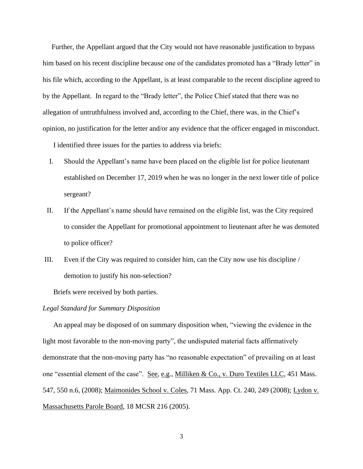Further, the Appellant argued that the City would not have reasonable justification to bypass him based on his recent discipline because one of the candidates promoted has a "Brady letter" in his file which, according to the Appellant, is at least comparable to the recent discipline agreed to by the Appellant. In regard to the "Brady letter", the Police Chief stated that there was no allegation of untruthfulness involved and, according to the Chief, there was, in the Chief's opinion, no justification for the letter and/or any evidence that the officer engaged in misconduct.

I identified three issues for the parties to address via briefs:

- I. Should the Appellant's name have been placed on the eligible list for police lieutenant established on December 17, 2019 when he was no longer in the next lower title of police sergeant?
- II. If the Appellant's name should have remained on the eligible list, was the City required to consider the Appellant for promotional appointment to lieutenant after he was demoted to police officer?
- III. Even if the City was required to consider him, can the City now use his discipline / demotion to justify his non-selection?

Briefs were received by both parties.

#### *Legal Standard for Summary Disposition*

An appeal may be disposed of on summary disposition when, "viewing the evidence in the light most favorable to the non-moving party", the undisputed material facts affirmatively demonstrate that the non-moving party has "no reasonable expectation" of prevailing on at least one "essential element of the case". See, e.g., Milliken & Co., v. Duro Textiles LLC, 451 Mass. 547, 550 n.6, (2008); Maimonides School v. Coles, 71 Mass. App. Ct. 240, 249 (2008); Lydon v. Massachusetts Parole Board, 18 MCSR 216 (2005).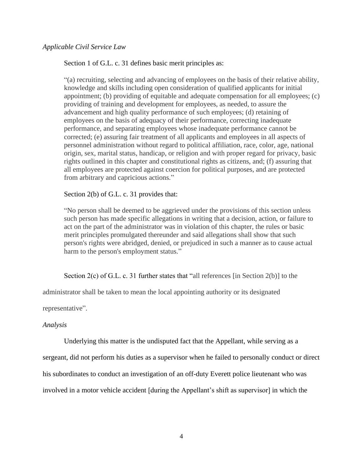## *Applicable Civil Service Law*

Section 1 of G.L. c. 31 defines basic merit principles as:

"(a) recruiting, selecting and advancing of employees on the basis of their relative ability, knowledge and skills including open consideration of qualified applicants for initial appointment; (b) providing of equitable and adequate compensation for all employees; (c) providing of training and development for employees, as needed, to assure the advancement and high quality performance of such employees; (d) retaining of employees on the basis of adequacy of their performance, correcting inadequate performance, and separating employees whose inadequate performance cannot be corrected; (e) assuring fair treatment of all applicants and employees in all aspects of personnel administration without regard to political affiliation, race, color, age, national origin, sex, marital status, handicap, or religion and with proper regard for privacy, basic rights outlined in this chapter and constitutional rights as citizens, and; (f) assuring that all employees are protected against coercion for political purposes, and are protected from arbitrary and capricious actions."

Section 2(b) of G.L. c. 31 provides that:

"No person shall be deemed to be aggrieved under the provisions of this section unless such person has made specific allegations in writing that a decision, action, or failure to act on the part of the administrator was in violation of this chapter, the rules or basic merit principles promulgated thereunder and said allegations shall show that such person's rights were abridged, denied, or prejudiced in such a manner as to cause actual harm to the person's employment status."

Section 2(c) of G.L. c. 31 further states that "all references [in Section 2(b)] to the

administrator shall be taken to mean the local appointing authority or its designated

representative".

### *Analysis*

Underlying this matter is the undisputed fact that the Appellant, while serving as a

sergeant, did not perform his duties as a supervisor when he failed to personally conduct or direct

his subordinates to conduct an investigation of an off-duty Everett police lieutenant who was

involved in a motor vehicle accident [during the Appellant's shift as supervisor] in which the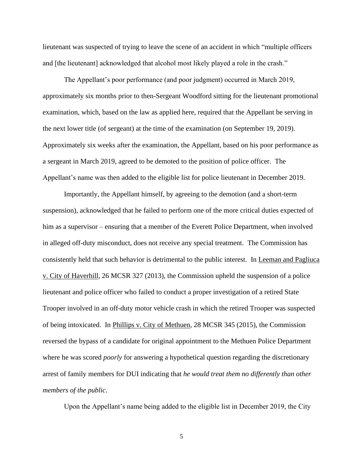lieutenant was suspected of trying to leave the scene of an accident in which "multiple officers and [the lieutenant] acknowledged that alcohol most likely played a role in the crash."

The Appellant's poor performance (and poor judgment) occurred in March 2019, approximately six months prior to then-Sergeant Woodford sitting for the lieutenant promotional examination, which, based on the law as applied here, required that the Appellant be serving in the next lower title (of sergeant) at the time of the examination (on September 19, 2019). Approximately six weeks after the examination, the Appellant, based on his poor performance as a sergeant in March 2019, agreed to be demoted to the position of police officer. The Appellant's name was then added to the eligible list for police lieutenant in December 2019.

Importantly, the Appellant himself, by agreeing to the demotion (and a short-term suspension), acknowledged that he failed to perform one of the more critical duties expected of him as a supervisor – ensuring that a member of the Everett Police Department, when involved in alleged off-duty misconduct, does not receive any special treatment. The Commission has consistently held that such behavior is detrimental to the public interest. In Leeman and Pagliuca v. City of Haverhill, 26 MCSR 327 (2013), the Commission upheld the suspension of a police lieutenant and police officer who failed to conduct a proper investigation of a retired State Trooper involved in an off-duty motor vehicle crash in which the retired Trooper was suspected of being intoxicated. In Phillips v. City of Methuen, 28 MCSR 345 (2015), the Commission reversed the bypass of a candidate for original appointment to the Methuen Police Department where he was scored *poorly* for answering a hypothetical question regarding the discretionary arrest of family members for DUI indicating that *he would treat them no differently than other members of the public*.

Upon the Appellant's name being added to the eligible list in December 2019, the City

5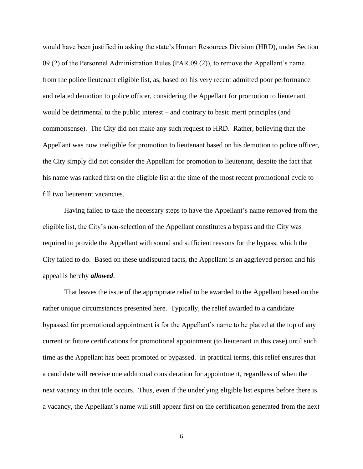would have been justified in asking the state's Human Resources Division (HRD), under Section 09 (2) of the Personnel Administration Rules (PAR.09 (2)), to remove the Appellant's name from the police lieutenant eligible list, as, based on his very recent admitted poor performance and related demotion to police officer, considering the Appellant for promotion to lieutenant would be detrimental to the public interest – and contrary to basic merit principles (and commonsense). The City did not make any such request to HRD. Rather, believing that the Appellant was now ineligible for promotion to lieutenant based on his demotion to police officer, the City simply did not consider the Appellant for promotion to lieutenant, despite the fact that his name was ranked first on the eligible list at the time of the most recent promotional cycle to fill two lieutenant vacancies.

Having failed to take the necessary steps to have the Appellant's name removed from the eligible list, the City's non-selection of the Appellant constitutes a bypass and the City was required to provide the Appellant with sound and sufficient reasons for the bypass, which the City failed to do. Based on these undisputed facts, the Appellant is an aggrieved person and his appeal is hereby *allowed*.

That leaves the issue of the appropriate relief to be awarded to the Appellant based on the rather unique circumstances presented here. Typically, the relief awarded to a candidate bypassed for promotional appointment is for the Appellant's name to be placed at the top of any current or future certifications for promotional appointment (to lieutenant in this case) until such time as the Appellant has been promoted or bypassed. In practical terms, this relief ensures that a candidate will receive one additional consideration for appointment, regardless of when the next vacancy in that title occurs. Thus, even if the underlying eligible list expires before there is a vacancy, the Appellant's name will still appear first on the certification generated from the next

6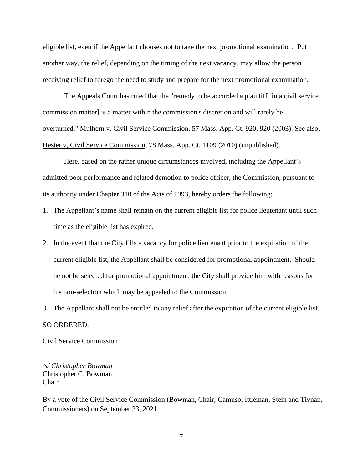eligible list, even if the Appellant chooses not to take the next promotional examination. Put another way, the relief, depending on the timing of the next vacancy, may allow the person receiving relief to forego the need to study and prepare for the next promotional examination.

The Appeals Court has ruled that the "remedy to be accorded a plaintiff [in a civil service commission matter] is a matter within the commission's discretion and will rarely be overturned." Mulhern v. Civil Service Commission, 57 Mass. App. Ct. 920, 920 (2003). See also, Hester v, Civil Service Commission, 78 Mass. App. Ct. 1109 (2010) (unpublished).

Here, based on the rather unique circumstances involved, including the Appellant's admitted poor performance and related demotion to police officer, the Commission, pursuant to its authority under Chapter 310 of the Acts of 1993, hereby orders the following:

- 1. The Appellant's name shall remain on the current eligible list for police lieutenant until such time as the eligible list has expired.
- 2. In the event that the City fills a vacancy for police lieutenant prior to the expiration of the current eligible list, the Appellant shall be considered for promotional appointment. Should he not be selected for promotional appointment, the City shall provide him with reasons for his non-selection which may be appealed to the Commission.
- 3. The Appellant shall not be entitled to any relief after the expiration of the current eligible list.

#### SO ORDERED.

Civil Service Commission

*/s/ Christopher Bowman* Christopher C. Bowman Chair

By a vote of the Civil Service Commission (Bowman, Chair; Camuso, Ittleman, Stein and Tivnan, Commissioners) on September 23, 2021.